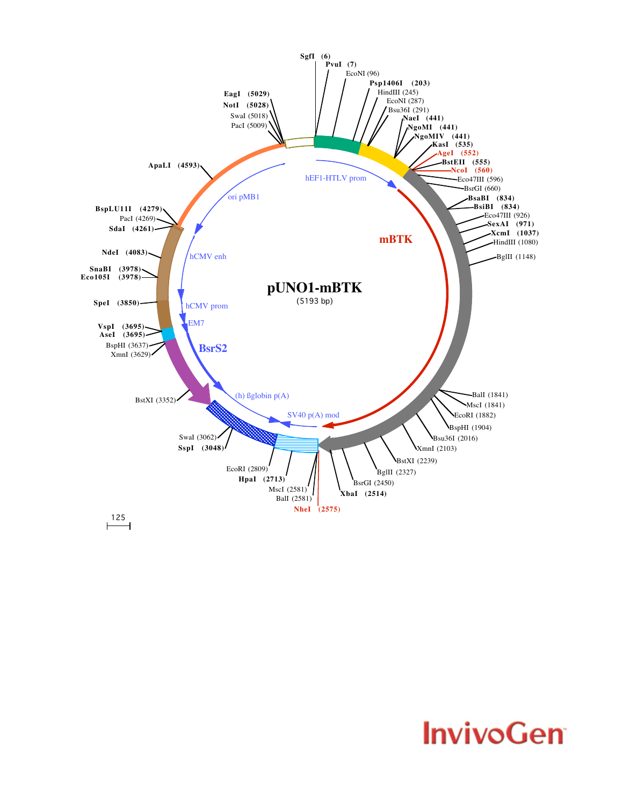

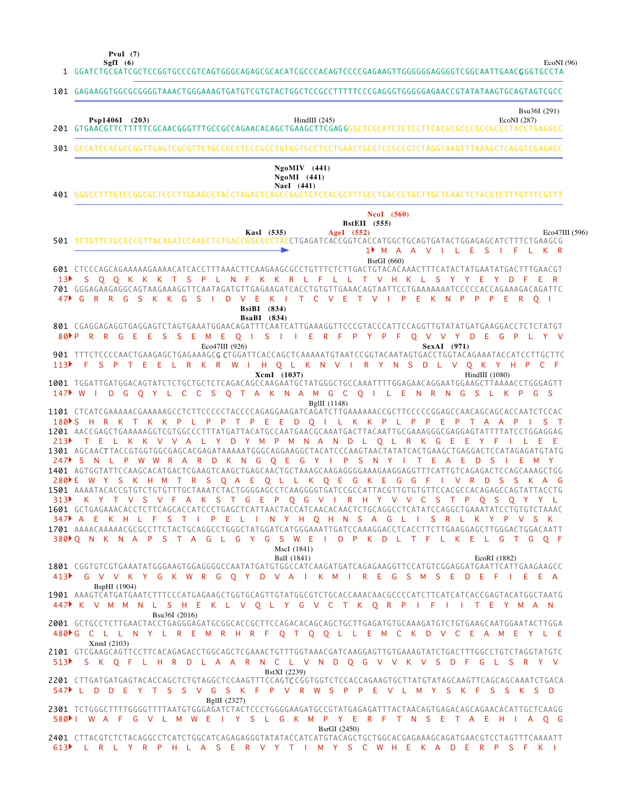**PvuI (7)**

EcoNI (96)

GGATCTGCGATCGCTCCGGTGCCCGTCAGTGGGCAGAGCGCACATCGCCCACAGTCCCCGAGAAGTTGGGGGGAGGGGTCGGCAATTGAACG GGTGCCTA 1 101 GAGAAGGTGGCGCGGGGTAAACTGGGAAAGTGATGTCGTGTACTGGCTCCGCCTTTTTCCCGAGGGTGGGGGAGAACCGTATATAAGTGCAGTAGTCGCC GTGAACGTTCTTTTTCGCAACGGGTTTGCCGCCAGAACACAGCTGAAGCTTCGAG GGGCTCGCATCTCTCCTTCACGCGCCCGCCGCCCTACCTGAGGCC 301 GCCATCCACGCCGGTTGAGTCGCGTTCTGCCGCCTCCCGCCTGTGGTGCCTCCTGAACTGCGTCCGCCGTCTAGGTAAGTTTAAAGCTCAGGTCGAGACC GGGCCTTTGTCCGGCGCTCCCTTGGAGCCTACCTAGACTCAGCCGGCTCTCCACGCTTTGCCTGACCCTGCTTGCTCAACTCTACGTCTTTGTTTCGTTT 401 501 TCTGTTCTGCGCCGTTACAGATCCAAGCTGTGACCGGCGCCTACCTGAGATCACCGGTCACCATGGCTGCAGTGATACTGGAGAGCATCTTTCTGAAGCG CTCCCAGCAGAAAAAGAAAACATCACCTTTAAACTTCAAGAAGCGCCTGTTTCTCTTGACTGTACACAAACTTTCATACTATGAATATGACTTTGAACGT 601 GGGAGAAGAGGCAGTAAGAAAGGTTCAATAGATGTTGAGAAGATCACCTGTGTTGAAACAGTAATTCCTGAAAAAAATCCCCCACCAGAAAGACAGATTC 701 CGAGGAGAGGTGAGGAGTCTAGTGAAATGGAACAGATTTCAATCATTGAAAGGTTCCCGTACCCATTCCAGGTTGTATATGATGAAGGACCTCTCTATGT 801 901 TTTCTCCCCAACTGAAGAGCTGAGAAAGC**G C**TGGATTCACCAGCTCAAAAATGTAATCCGGTACAATAGTGACCTGGTACAGAAATACCATCCTTGCTTC 1001 TGGATTGATGGACAGTATCTCTGCTGCTCTCAGACAGCCAAGAATGCTATGGGCTGCCAAATTTTGGAGAACAGGAATGGAAGCTTAAAACCTGGGAGTT 1101 CTCATCGAAAAACGAAAAAGCCTCTTCCCCCTACCCCAGAGGAAGATCAGATCTTGAAAAAACCGCTTCCCCCGGAGCCAACAGCAGCAGCAATCTCCAC 1201 AACCGAGCTGAAAAAGGTCGTGGCCCTTTATGATTACATGCCAATGAACGCAAATGACTTACAATTGCGAAAGGGCGAGGAGTATTTTATCCTGGAGGAG 1301 AGCAACTTACCGTGGTGGCGAGCACGAGATAAAAATGGGCAGGAAGGCTACATCCCAAGTAACTATATCACTGAAGCTGAGGACTCCATAGAGATGTATG AGTGGTATTCCAAGCACATGACTCGAAGTCAAGCTGAGCAACTGCTAAAGCAAGAGGGGAAAGAAGGAGGTTTCATTGTCAGAGACTCCAGCAAAGCTGG 1401 1501 AAAATACACCGTGTCTGTGTTTGCTAAATCTACTGGGGAGCCTCAAGGGGTGATCCGCCATTACGTTGTGTGTTCCACGCCACAGAGCCAGTATTACCTG 1601 GCTGAGAAACACCTCTTCAGCACCATCCCTGAGCTCATTAACTACCATCAACACACTCTGCAGGCCTCATATCCAGGCTGAAATATCCTGTGTCTAAAC 1701 AAAACAAAAACGCGCCTTCTACTGCAGGCCTGGGCTATGGATCATGGAAATTGATCCAAAGGACCTCACCTTCTTGAAGGAGCTTGGGACTGGACAATT 1801 CGGTGTCGTGAAATATGGGAAGTGGAGGGGCCAATATGATGTGGCCATCAAGATGATCAGAGAAGGTTCCATGTCGGAGGATGAATTCATTGAAGAAGCC 1901 AAAGTCATGATGAATCTTTCCCATGAGAAGCTGGTGCAGTTGTATGGCGTCTGCACCAAACAACGCCCCATCTTCATCATCACCGAGTACATGGCTAATG 2001 GCTGCCTCTTGAACTACCTGAGGGAGATGCGGCACCGCTTCCAGACACAGCAGCTGCTTGAGATGTGCAAAGATGTCTGTGAAGCAATGGAATACTTGGA 2101 GTCGAAGCAGTTCCTTCACAGAGACCTGGCAGCTCGAAACTGTTTGGTAAACGATCAAGGAGTTGTGAAAGTATCTGACTTTGGCCTGTCTAGGTATGTC 2201 CTTGATGATGAGTACACCAGCTCTGTAGGCTCCAAGTTTCCAGTCCGGTGGTCTCCACCAGAAGTGCTTATGTATAGCAAGTTCAGCAGCAAATCTGACA 2301 TCTGGGCTTTTTGGGGTTTTAATGTGGGAGATCTACTCCCTGGGGAAGATGCCGTATGAGAGATTTACTAACAGTGAGACAGCAGAACACATTGCTCAAGG 2401 CTTACGTCTCTACAGGCCTCATCTGGCATCAGAGAGGGTATATACCATCATGTACAGCTGCTGGCACGAGAAAGCAGATGAACGTCCTAGTTTCAAAATT M A A V I L E S I F L K R 1 S Q Q K K K T S P L N F K K R L F L L T V H K L S Y Y E Y D F E R G R R G S K K G S I D V E K I T C V E T V I P E K N P P P E R Q I 4 7 P R R G E E S S E M E Q I S I I E R F P Y P F Q V V Y D E G P L Y V 8 0 F S P T E E L R K R W I H Q L K N V I R Y N S D L V Q K Y H P C F W I D G Q Y L C C S Q T A K N A M G C Q I L E N R N G S L K P G S 147 180NS H R K T K K P L P P T P E E D Q I L K K P L P P E P T A A P I S T T E L K K V V A L Y D Y M P M N A N D L Q L R K G E E Y F I L E E 213 247 PS N L P W W R A R D K N G Q E G Y I P S N Y I T E A E D S I E M Y E W Y S K H M T R S Q A E Q L L K Q E G K E G G F I V R D S S K A G 280 K Y T V S V F A K S T G E P Q G V I R H Y V V C S T P Q S Q Y Y L 313 347 PA E K H L F S T I P E L I N Y H Q H N S A G L I S R L K Y P V S K Q N K N A P S T A G L G Y G S W E I D P K D L T F L K E L G T G Q F 380 G V V K Y G K W R G Q Y D V A I K M I R E G S M S E D E F I E E A K V M M N L S H E K L V Q L Y G V C T K Q R P I F I I T E Y M A N 447 480NG CLL NY LREM R H R F Q T Q Q L LEM C K D V C E A M E Y L E S K Q F L H R D L A A R N C L V N D Q G V V K V S D F G L S R Y V 513 L D D E Y T S S V G S K F P V R W S P P E V L M Y S K F S S K S D 547 580NI WAF G V L M W E I Y S L G K M P Y E R F T N S E T A E H I A Q G L R L Y R P H L A S E R V Y T I M Y S C W H E K A D E R P S F K I 613**SgfI (6) Psp1406I** (203) **HindIII** (245) **EcoNI** (287) Bsu36I (291) **NaeI (441) NgoMI (441) NgoMIV (441) KasI (535) AgeI (552) BstEII (555) NcoI (560)** Eco47III (596) BsrGI (660) **BsaBI (834) BsiBI (834)** Eco47III (926) **SexAI** (971) **XcmI (1037)** HindIII (1080) BglII (1148) BalI (1841) MscI (1841) EcoRI (1882) BspHI (1904) Bsu36I (2016) XmnI (2103) BstXI (2239) BglII (2327) BsrGI (2450) 201  $13$  $113$  $413$